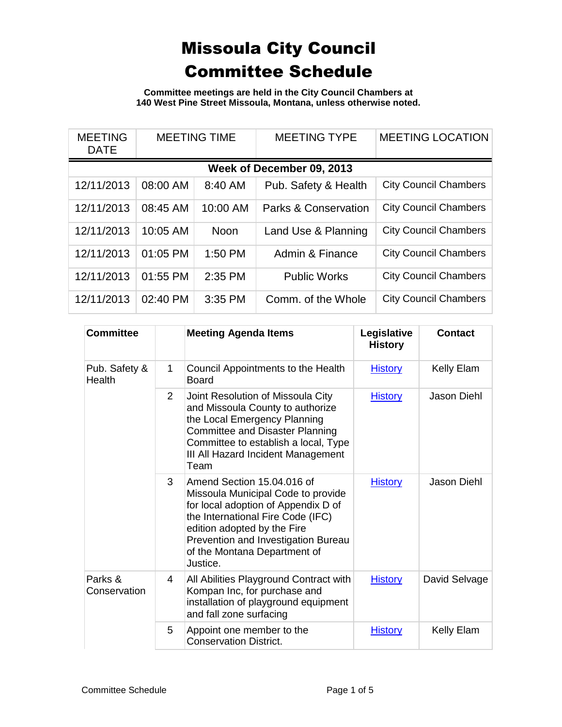**Committee meetings are held in the City Council Chambers at 140 West Pine Street Missoula, Montana, unless otherwise noted.**

| <b>MEETING</b><br><b>DATE</b> | <b>MEETING TIME</b> |          | <b>MEETING TYPE</b>             | <b>MEETING LOCATION</b>      |
|-------------------------------|---------------------|----------|---------------------------------|------------------------------|
|                               |                     |          | Week of December 09, 2013       |                              |
| 12/11/2013                    | 08:00 AM            | 8:40 AM  | Pub. Safety & Health            | <b>City Council Chambers</b> |
| 12/11/2013                    | 08:45 AM            | 10:00 AM | <b>Parks &amp; Conservation</b> | <b>City Council Chambers</b> |
| 12/11/2013                    | 10:05 AM            | Noon     | Land Use & Planning             | <b>City Council Chambers</b> |
| 12/11/2013                    | 01:05 PM            | 1:50 PM  | Admin & Finance                 | <b>City Council Chambers</b> |
| 12/11/2013                    | 01:55 PM            | 2:35 PM  | <b>Public Works</b>             | <b>City Council Chambers</b> |
| 12/11/2013                    | 02:40 PM            | 3:35 PM  | Comm. of the Whole              | <b>City Council Chambers</b> |

| <b>Committee</b>        |   | <b>Meeting Agenda Items</b>                                                                                                                                                                                                                                    | Legislative<br><b>History</b> | <b>Contact</b>     |
|-------------------------|---|----------------------------------------------------------------------------------------------------------------------------------------------------------------------------------------------------------------------------------------------------------------|-------------------------------|--------------------|
| Pub. Safety &<br>Health | 1 | Council Appointments to the Health<br><b>Board</b>                                                                                                                                                                                                             | <b>History</b>                | Kelly Elam         |
|                         | 2 | Joint Resolution of Missoula City<br>and Missoula County to authorize<br>the Local Emergency Planning<br><b>Committee and Disaster Planning</b><br>Committee to establish a local, Type<br>III All Hazard Incident Management<br>Team                          | <b>History</b>                | <b>Jason Diehl</b> |
|                         | 3 | Amend Section 15.04.016 of<br>Missoula Municipal Code to provide<br>for local adoption of Appendix D of<br>the International Fire Code (IFC)<br>edition adopted by the Fire<br>Prevention and Investigation Bureau<br>of the Montana Department of<br>Justice. | <b>History</b>                | Jason Diehl        |
| Parks &<br>Conservation | 4 | All Abilities Playground Contract with<br>Kompan Inc, for purchase and<br>installation of playground equipment<br>and fall zone surfacing                                                                                                                      | <b>History</b>                | David Selvage      |
|                         | 5 | Appoint one member to the<br><b>Conservation District.</b>                                                                                                                                                                                                     | <b>History</b>                | <b>Kelly Elam</b>  |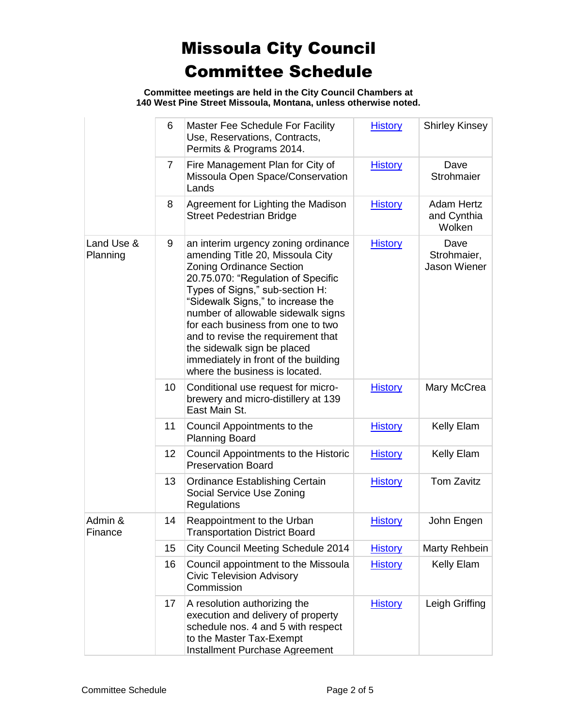**Committee meetings are held in the City Council Chambers at 140 West Pine Street Missoula, Montana, unless otherwise noted.**

|                        | 6              | Master Fee Schedule For Facility<br>Use, Reservations, Contracts,<br>Permits & Programs 2014.                                                                                                                                                                                                                                                                                                                                                      | <b>History</b> | <b>Shirley Kinsey</b>                      |
|------------------------|----------------|----------------------------------------------------------------------------------------------------------------------------------------------------------------------------------------------------------------------------------------------------------------------------------------------------------------------------------------------------------------------------------------------------------------------------------------------------|----------------|--------------------------------------------|
|                        | $\overline{7}$ | Fire Management Plan for City of<br>Missoula Open Space/Conservation<br>Lands                                                                                                                                                                                                                                                                                                                                                                      | <b>History</b> | Dave<br>Strohmaier                         |
|                        | 8              | Agreement for Lighting the Madison<br><b>Street Pedestrian Bridge</b>                                                                                                                                                                                                                                                                                                                                                                              | <b>History</b> | <b>Adam Hertz</b><br>and Cynthia<br>Wolken |
| Land Use &<br>Planning | 9              | an interim urgency zoning ordinance<br>amending Title 20, Missoula City<br><b>Zoning Ordinance Section</b><br>20.75.070: "Regulation of Specific<br>Types of Signs," sub-section H:<br>"Sidewalk Signs," to increase the<br>number of allowable sidewalk signs<br>for each business from one to two<br>and to revise the requirement that<br>the sidewalk sign be placed<br>immediately in front of the building<br>where the business is located. | <b>History</b> | Dave<br>Strohmaier,<br>Jason Wiener        |
|                        | 10             | Conditional use request for micro-<br>brewery and micro-distillery at 139<br>East Main St.                                                                                                                                                                                                                                                                                                                                                         | <b>History</b> | Mary McCrea                                |
|                        | 11             | Council Appointments to the<br><b>Planning Board</b>                                                                                                                                                                                                                                                                                                                                                                                               | <b>History</b> | Kelly Elam                                 |
|                        | 12             | Council Appointments to the Historic<br><b>Preservation Board</b>                                                                                                                                                                                                                                                                                                                                                                                  | <b>History</b> | Kelly Elam                                 |
|                        | 13             | <b>Ordinance Establishing Certain</b><br>Social Service Use Zoning<br>Regulations                                                                                                                                                                                                                                                                                                                                                                  | <b>History</b> | <b>Tom Zavitz</b>                          |
| Admin &<br>Finance     | 14             | Reappointment to the Urban<br><b>Transportation District Board</b>                                                                                                                                                                                                                                                                                                                                                                                 | <b>History</b> | John Engen                                 |
|                        | 15             | City Council Meeting Schedule 2014                                                                                                                                                                                                                                                                                                                                                                                                                 | <b>History</b> | Marty Rehbein                              |
|                        | 16             | Council appointment to the Missoula<br><b>Civic Television Advisory</b><br>Commission                                                                                                                                                                                                                                                                                                                                                              | <b>History</b> | Kelly Elam                                 |
|                        | 17             | A resolution authorizing the<br>execution and delivery of property<br>schedule nos. 4 and 5 with respect<br>to the Master Tax-Exempt<br>Installment Purchase Agreement                                                                                                                                                                                                                                                                             | <b>History</b> | Leigh Griffing                             |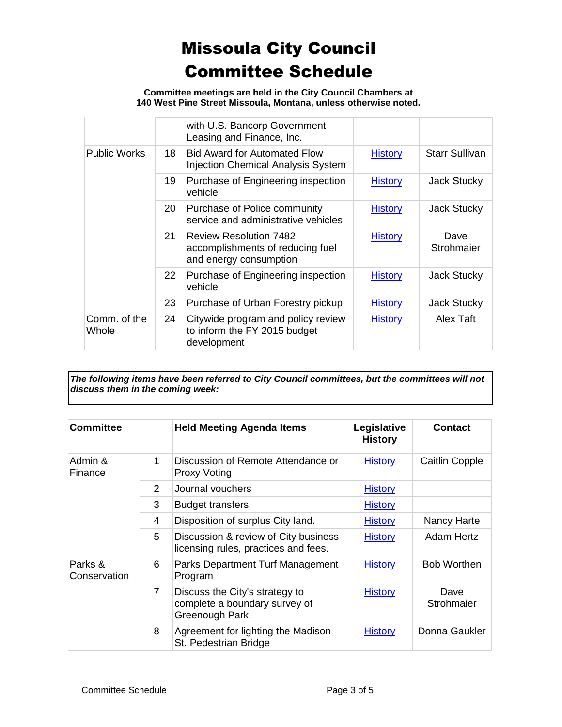**Committee meetings are held in the City Council Chambers at 140 West Pine Street Missoula, Montana, unless otherwise noted.**

|                       |    | with U.S. Bancorp Government<br>Leasing and Finance, Inc.                                   |                |                       |
|-----------------------|----|---------------------------------------------------------------------------------------------|----------------|-----------------------|
| <b>Public Works</b>   | 18 | <b>Bid Award for Automated Flow</b><br><b>Injection Chemical Analysis System</b>            | <b>History</b> | <b>Starr Sullivan</b> |
|                       | 19 | Purchase of Engineering inspection<br>vehicle                                               | <b>History</b> | Jack Stucky           |
|                       | 20 | Purchase of Police community<br>service and administrative vehicles                         | <b>History</b> | Jack Stucky           |
|                       | 21 | <b>Review Resolution 7482</b><br>accomplishments of reducing fuel<br>and energy consumption | <b>History</b> | Dave<br>Strohmaier    |
|                       | 22 | Purchase of Engineering inspection<br>vehicle                                               | <b>History</b> | <b>Jack Stucky</b>    |
|                       | 23 | Purchase of Urban Forestry pickup                                                           | <b>History</b> | Jack Stucky           |
| Comm. of the<br>Whole | 24 | Citywide program and policy review<br>to inform the FY 2015 budget<br>development           | <b>History</b> | Alex Taft             |

*The following items have been referred to City Council committees, but the committees will not discuss them in the coming week:*

| <b>Committee</b>        |                | <b>Held Meeting Agenda Items</b>                                                   | Legislative<br><b>History</b> | <b>Contact</b>        |
|-------------------------|----------------|------------------------------------------------------------------------------------|-------------------------------|-----------------------|
| Admin &<br>Finance      | 1              | Discussion of Remote Attendance or<br><b>Proxy Voting</b>                          | <b>History</b>                | <b>Caitlin Copple</b> |
|                         | $\overline{2}$ | Journal vouchers                                                                   | <b>History</b>                |                       |
|                         | 3              | Budget transfers.                                                                  | <b>History</b>                |                       |
|                         | 4              | Disposition of surplus City land.                                                  | <b>History</b>                | Nancy Harte           |
|                         | 5              | Discussion & review of City business<br>licensing rules, practices and fees.       | <b>History</b>                | <b>Adam Hertz</b>     |
| Parks &<br>Conservation | 6              | Parks Department Turf Management<br>Program                                        | <b>History</b>                | <b>Bob Worthen</b>    |
|                         | $\overline{7}$ | Discuss the City's strategy to<br>complete a boundary survey of<br>Greenough Park. | <b>History</b>                | Dave<br>Strohmaier    |
|                         | 8              | Agreement for lighting the Madison<br>St. Pedestrian Bridge                        | <b>History</b>                | Donna Gaukler         |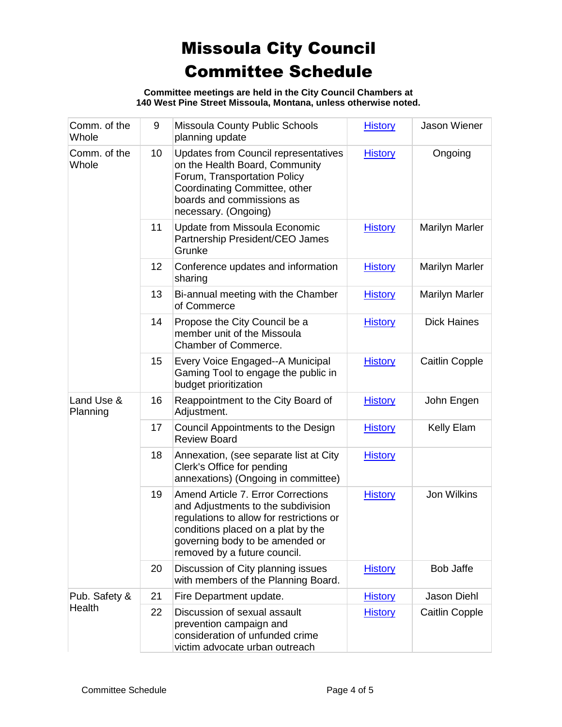**Committee meetings are held in the City Council Chambers at 140 West Pine Street Missoula, Montana, unless otherwise noted.**

| Comm. of the<br>Whole   | 9  | Missoula County Public Schools<br>planning update                                                                                                                                                                             | <b>History</b> | Jason Wiener          |
|-------------------------|----|-------------------------------------------------------------------------------------------------------------------------------------------------------------------------------------------------------------------------------|----------------|-----------------------|
| Comm. of the<br>Whole   | 10 | <b>Updates from Council representatives</b><br>on the Health Board, Community<br>Forum, Transportation Policy<br>Coordinating Committee, other<br>boards and commissions as<br>necessary. (Ongoing)                           | <b>History</b> | Ongoing               |
|                         | 11 | Update from Missoula Economic<br>Partnership President/CEO James<br>Grunke                                                                                                                                                    | <b>History</b> | <b>Marilyn Marler</b> |
|                         | 12 | Conference updates and information<br>sharing                                                                                                                                                                                 | <b>History</b> | <b>Marilyn Marler</b> |
|                         | 13 | Bi-annual meeting with the Chamber<br>of Commerce                                                                                                                                                                             | <b>History</b> | <b>Marilyn Marler</b> |
|                         | 14 | Propose the City Council be a<br>member unit of the Missoula<br>Chamber of Commerce.                                                                                                                                          | <b>History</b> | <b>Dick Haines</b>    |
|                         | 15 | Every Voice Engaged--A Municipal<br>Gaming Tool to engage the public in<br>budget prioritization                                                                                                                              | <b>History</b> | <b>Caitlin Copple</b> |
| Land Use &<br>Planning  | 16 | Reappointment to the City Board of<br>Adjustment.                                                                                                                                                                             | <b>History</b> | John Engen            |
|                         | 17 | Council Appointments to the Design<br><b>Review Board</b>                                                                                                                                                                     | <b>History</b> | Kelly Elam            |
|                         | 18 | Annexation, (see separate list at City<br>Clerk's Office for pending<br>annexations) (Ongoing in committee)                                                                                                                   | <b>History</b> |                       |
|                         | 19 | Amend Article 7. Error Corrections<br>and Adjustments to the subdivision<br>regulations to allow for restrictions or<br>conditions placed on a plat by the<br>governing body to be amended or<br>removed by a future council. | <b>History</b> | <b>Jon Wilkins</b>    |
|                         | 20 | Discussion of City planning issues<br>with members of the Planning Board.                                                                                                                                                     | <b>History</b> | <b>Bob Jaffe</b>      |
| Pub. Safety &<br>Health | 21 | Fire Department update.                                                                                                                                                                                                       | <b>History</b> | Jason Diehl           |
|                         | 22 | Discussion of sexual assault<br>prevention campaign and<br>consideration of unfunded crime<br>victim advocate urban outreach                                                                                                  | <b>History</b> | <b>Caitlin Copple</b> |